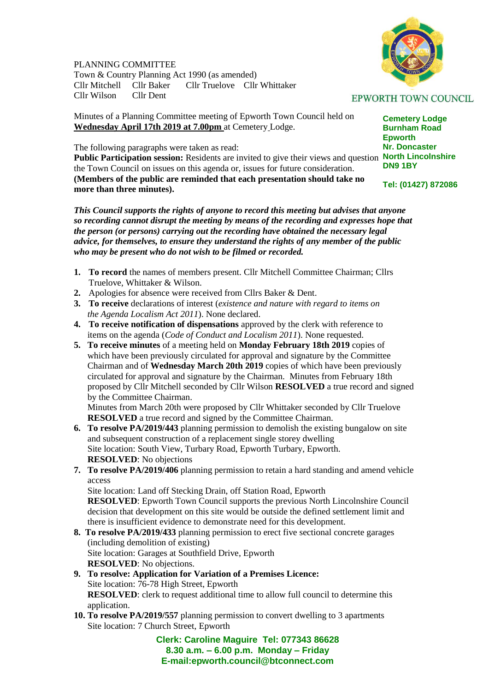## PLANNING COMMITTEE

Town & Country Planning Act 1990 (as amended) Cllr Truelove Cllr Whittaker Cllr Wilson Cllr Dent

Minutes of a Planning Committee meeting of Epworth Town Council held on **Wednesday April 17th 2019 at 7.00pm** at Cemetery Lodge.

The following paragraphs were taken as read:

Public Participation session: Residents are invited to give their views and question North Lincolnshire the Town Council on issues on this agenda or, issues for future consideration. **(Members of the public are reminded that each presentation should take no more than three minutes).**

*This Council supports the rights of anyone to record this meeting but advises that anyone so recording cannot disrupt the meeting by means of the recording and expresses hope that the person (or persons) carrying out the recording have obtained the necessary legal advice, for themselves, to ensure they understand the rights of any member of the public who may be present who do not wish to be filmed or recorded.*

- **1. To record** the names of members present. Cllr Mitchell Committee Chairman; Cllrs Truelove, Whittaker & Wilson.
- **2.** Apologies for absence were received from Cllrs Baker & Dent.
- **3. To receive** declarations of interest (*existence and nature with regard to items on the Agenda Localism Act 2011*). None declared.
- **4. To receive notification of dispensations** approved by the clerk with reference to items on the agenda (*Code of Conduct and Localism 2011*). None requested.
- **5. To receive minutes** of a meeting held on **Monday February 18th 2019** copies of which have been previously circulated for approval and signature by the Committee Chairman and of **Wednesday March 20th 2019** copies of which have been previously circulated for approval and signature by the Chairman. Minutes from February 18th proposed by Cllr Mitchell seconded by Cllr Wilson **RESOLVED** a true record and signed by the Committee Chairman.

 Minutes from March 20th were proposed by Cllr Whittaker seconded by Cllr Truelove **RESOLVED** a true record and signed by the Committee Chairman.

- **6. To resolve PA/2019/443** planning permission to demolish the existing bungalow on site and subsequent construction of a replacement single storey dwelling Site location: South View, Turbary Road, Epworth Turbary, Epworth. **RESOLVED**: No objections
- **7. To resolve PA/2019/406** planning permission to retain a hard standing and amend vehicle access

 Site location: Land off Stecking Drain, off Station Road, Epworth **RESOLVED**: Epworth Town Council supports the previous North Lincolnshire Council decision that development on this site would be outside the defined settlement limit and there is insufficient evidence to demonstrate need for this development.

- **8. To resolve PA/2019/433** planning permission to erect five sectional concrete garages (including demolition of existing) Site location: Garages at Southfield Drive, Epworth **RESOLVED**: No objections.
- **9. To resolve: Application for Variation of a Premises Licence:**  Site location: 76-78 High Street, Epworth **RESOLVED**: clerk to request additional time to allow full council to determine this application.
- **10. To resolve PA/2019/557** planning permission to convert dwelling to 3 apartments Site location: 7 Church Street, Epworth

**Clerk: Caroline Maguire Tel: 077343 86628 8.30 a.m. – 6.00 p.m. Monday – Friday E-mail:epworth.council@btconnect.com**

## **EPWORTH TOWN COUNCIL**

**Cemetery Lodge Burnham Road Epworth Nr. Doncaster DN9 1BY**

**Tel: (01427) 872086**